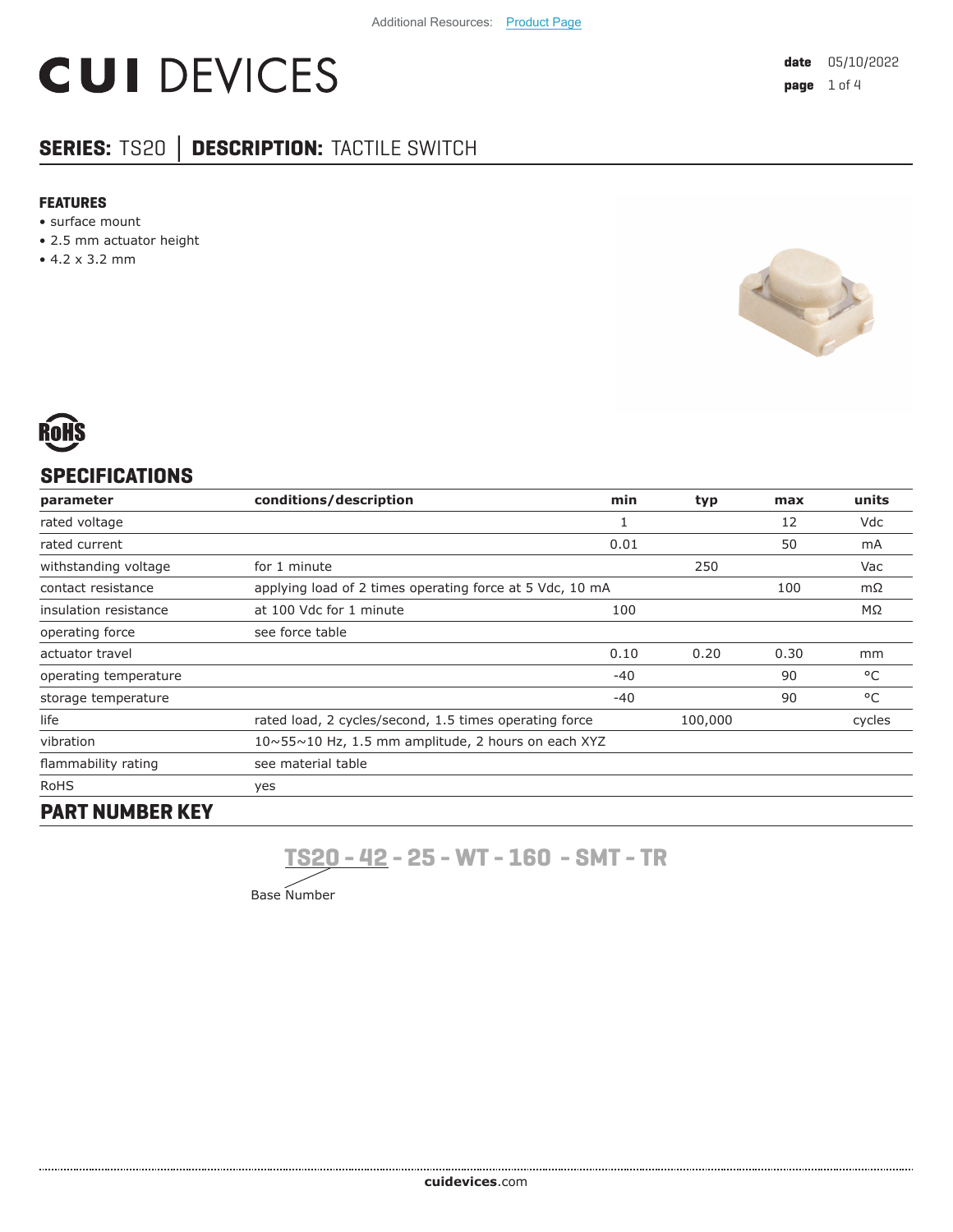# **CUI DEVICES**

# **SERIES:** TS20 **│ DESCRIPTION:** TACTILE SWITCH

#### **FEATURES**

- surface mount
- 2.5 mm actuator height
- 4.2 x 3.2 mm





# **SPECIFICATIONS**

| parameter             | conditions/description                                   | min   | typ     | max  | units  |
|-----------------------|----------------------------------------------------------|-------|---------|------|--------|
| rated voltage         |                                                          |       |         | 12   | Vdc    |
| rated current         |                                                          | 0.01  |         | 50   | mA     |
| withstanding voltage  | for 1 minute                                             |       | 250     |      | Vac    |
| contact resistance    | applying load of 2 times operating force at 5 Vdc, 10 mA | 100   |         | mΩ   |        |
| insulation resistance | at 100 Vdc for 1 minute                                  | 100   |         |      | ΜΩ     |
| operating force       | see force table                                          |       |         |      |        |
| actuator travel       |                                                          | 0.10  | 0.20    | 0.30 | mm     |
| operating temperature |                                                          | $-40$ |         | 90   | °C     |
| storage temperature   |                                                          | -40   |         | 90   | °C     |
| life                  | rated load, 2 cycles/second, 1.5 times operating force   |       | 100,000 |      | cycles |
| vibration             | 10~55~10 Hz, 1.5 mm amplitude, 2 hours on each XYZ       |       |         |      |        |
| flammability rating   | see material table                                       |       |         |      |        |
| RoHS                  | yes                                                      |       |         |      |        |

## **PART NUMBER KEY**

......................................

**TS20 - 42 - 25 - WT - 160 - SMT - TR**

Base Number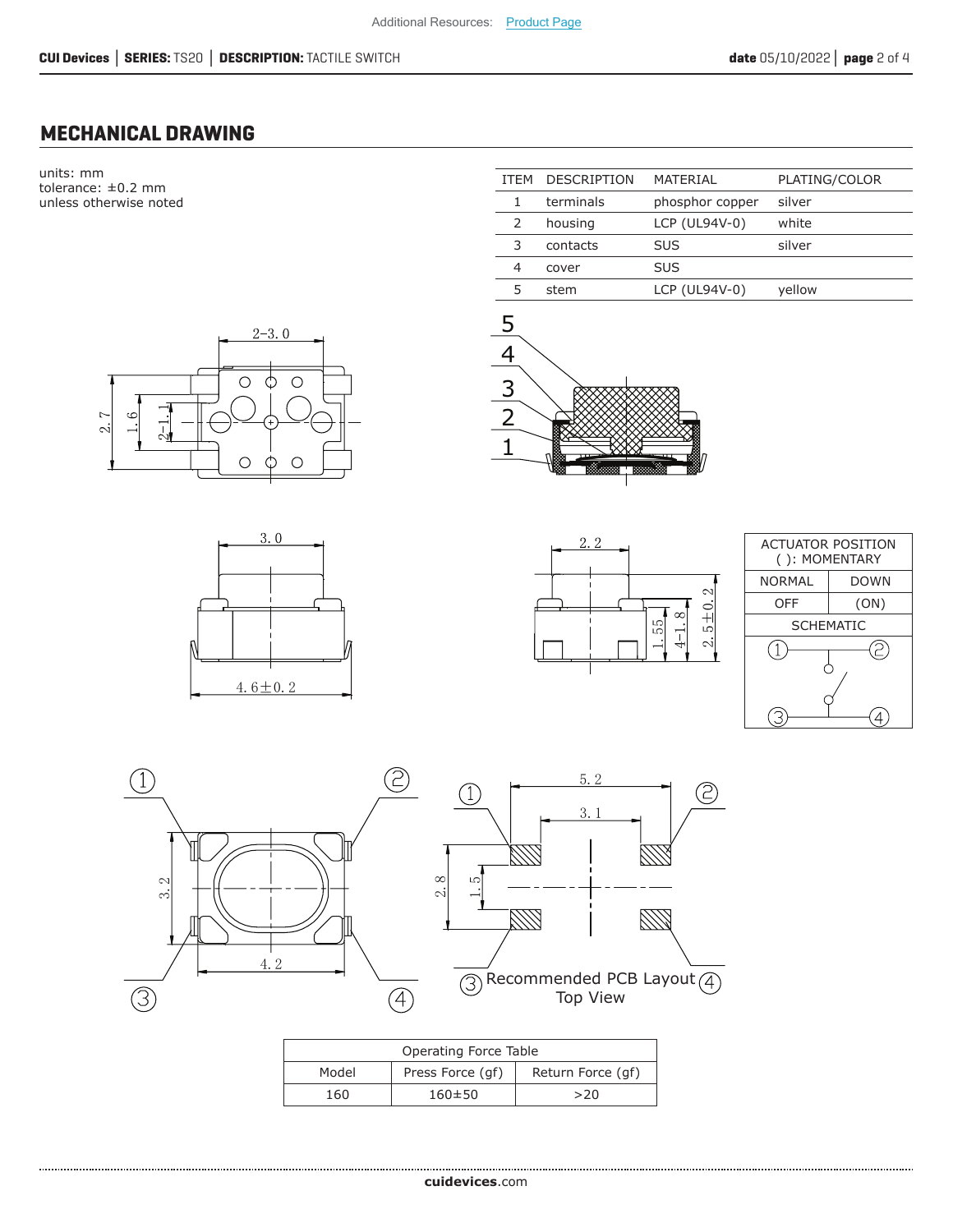4

3 2 1

### **MECHANICAL DRAWING**

units: mm tolerance: ±0.2 mm unless otherwise noted





| <b>ITFM</b>   | <b>DESCRIPTION</b> | MATERIAL        | PLATING/COLOR |
|---------------|--------------------|-----------------|---------------|
|               | terminals          | phosphor copper | silver        |
| $\mathcal{L}$ | housing            | LCP (UL94V-0)   | white         |
| 3             | contacts           | <b>SUS</b>      | silver        |
| 4             | cover              | <b>SUS</b>      |               |
| 5             | stem               | LCP (UL94V-0)   | yellow        |
|               |                    |                 |               |







| Operating Force Table |                  |                   |  |
|-----------------------|------------------|-------------------|--|
| Model                 | Press Force (qf) | Return Force (qf) |  |
| 160                   | $160 \pm 50$     | >20               |  |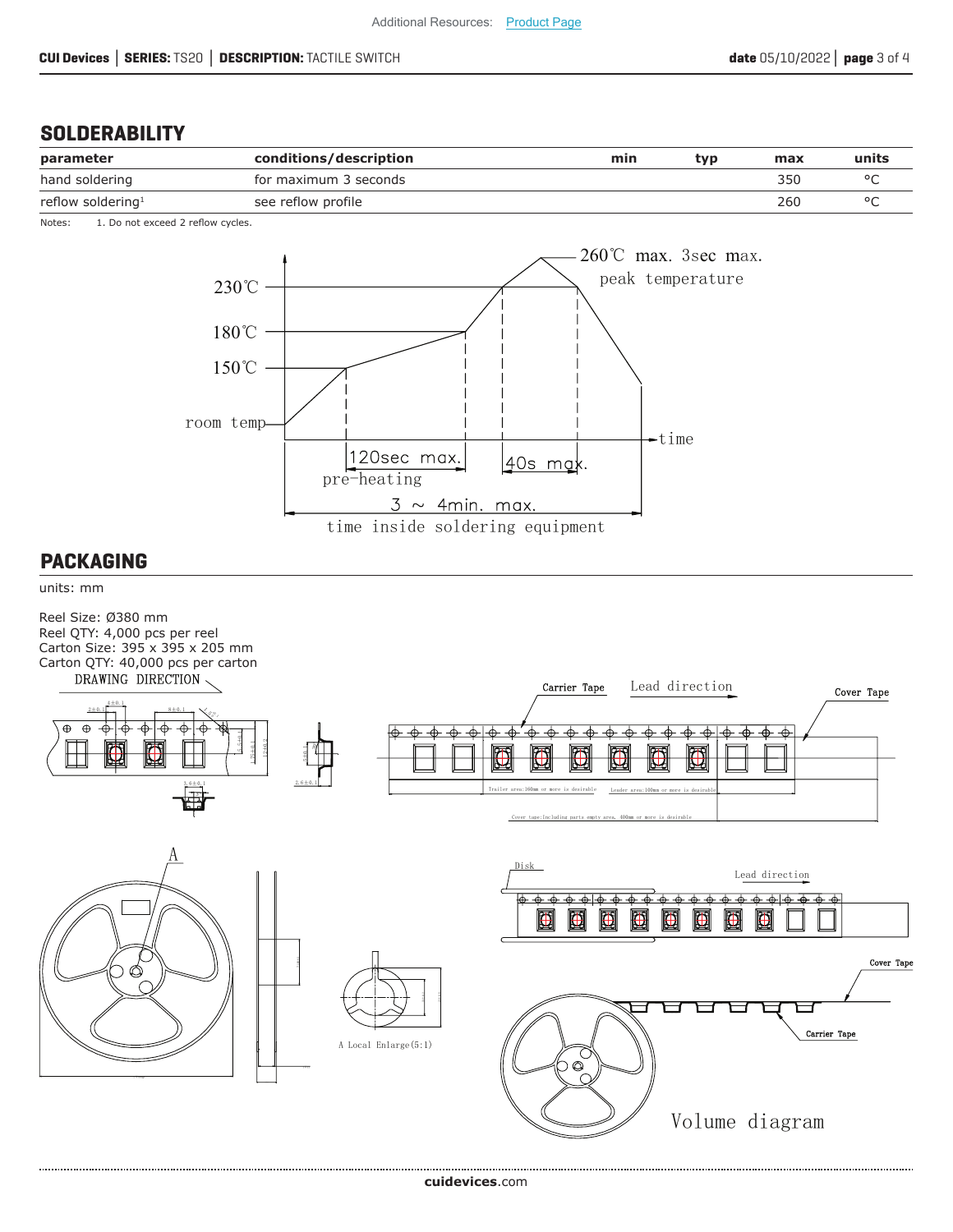#### **SOLDERABILITY**

| parameter                     | conditions/description | min | tvp | max | units |
|-------------------------------|------------------------|-----|-----|-----|-------|
| hand soldering                | for maximum 3 seconds  |     |     | 350 |       |
| reflow soldering <sup>1</sup> | see reflow profile     |     |     | 260 |       |

Notes: 1. Do not exceed 2 reflow cycles.



#### **PACKAGING**

units: mm

Reel Size: Ø380 mm Reel QTY: 4,000 pcs per reel Carton Size: 395 x 395 x 205 mm Carton QTY: 40,000 pcs per carton<br>DRAWING DIRECTION Carrier Tape Lead direction Cover Tape *f*  $2 \pm 0.1$  $8 \pm 0.1$ ٤ô ⊕ 4 ക  $\overline{\phantom{a}}$ ₼  $\mathbf{A}$  $\rightarrow$  $\frac{1}{2}$ ക ക *f f* **f**<sub>14</sub><br>*f*<sub>14</sub> *e f* ۰., ⊴  $f(3, 6 \pm 0, 1)$  *f*  $f(4, 1)$  *f*  $f(5, 1)$  *f*  $f(6, 1)$  *f*  $f(7, 1)$  *f*  $f(7, 1)$  *f*  $f(7, 1)$  *f*  $f(7, 1)$  *f*  $f(7, 1)$  *<i>f*  $f(7, 1)$  *f*  $f(7, 1)$  *<i>f*  $f(7, 1)$  *f*  $f(7, 1)$  *<i>f*  $f(7, 1)$ Trailer area:160mm or more is desirable *Leader* area:100mm or more is desirable *e*Cover tape:Including parts empty area, 400mm or more is desirable *\$* Lead direction *f "f* Cover Tape @ C Carrier Tape *A* Local Enlarge (5:1) ∞ *f* Volume diagram

......................................